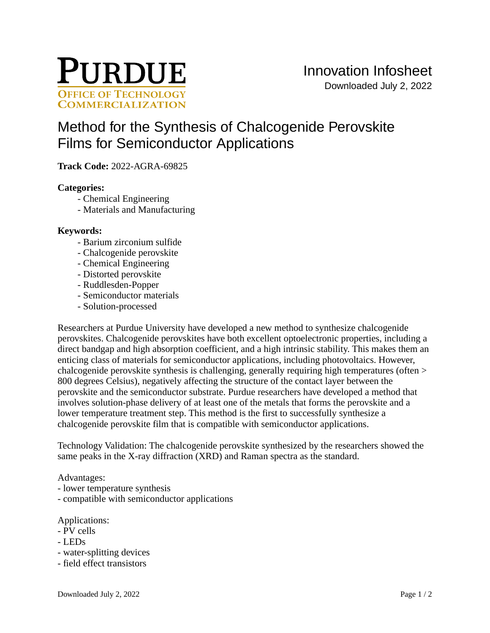

# [Method for the Synthesis of Chalcogenide Perovskite](https://inventions.prf.org/innovation/8439)  [Films for Semiconductor Applications](https://inventions.prf.org/innovation/8439)

**Track Code:** 2022-AGRA-69825

## **Categories:**

- Chemical Engineering
- Materials and Manufacturing

### **Keywords:**

- Barium zirconium sulfide
- Chalcogenide perovskite
- Chemical Engineering
- Distorted perovskite
- Ruddlesden-Popper
- Semiconductor materials
- Solution-processed

Researchers at Purdue University have developed a new method to synthesize chalcogenide perovskites. Chalcogenide perovskites have both excellent optoelectronic properties, including a direct bandgap and high absorption coefficient, and a high intrinsic stability. This makes them an enticing class of materials for semiconductor applications, including photovoltaics. However, chalcogenide perovskite synthesis is challenging, generally requiring high temperatures (often > 800 degrees Celsius), negatively affecting the structure of the contact layer between the perovskite and the semiconductor substrate. Purdue researchers have developed a method that involves solution-phase delivery of at least one of the metals that forms the perovskite and a lower temperature treatment step. This method is the first to successfully synthesize a chalcogenide perovskite film that is compatible with semiconductor applications.

Technology Validation: The chalcogenide perovskite synthesized by the researchers showed the same peaks in the X-ray diffraction (XRD) and Raman spectra as the standard.

### Advantages:

- lower temperature synthesis
- compatible with semiconductor applications

Applications:

- PV cells
- LEDs
- water-splitting devices
- field effect transistors